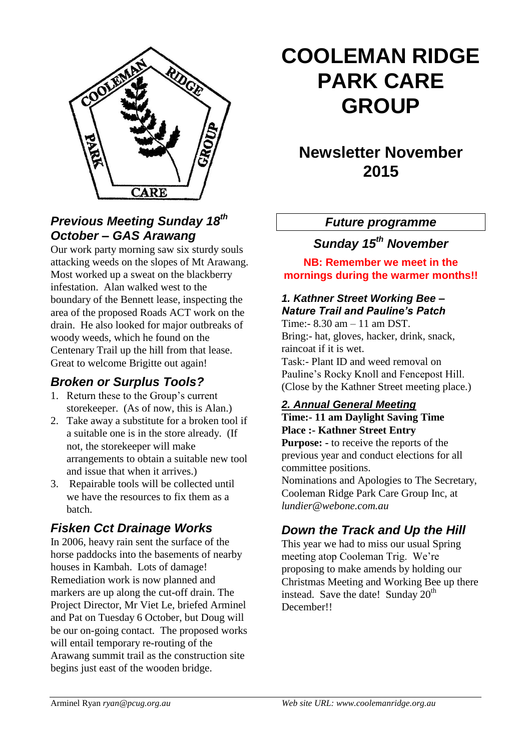

### *Previous Meeting Sunday 18th October – GAS Arawang*

Our work party morning saw six sturdy souls attacking weeds on the slopes of Mt Arawang. Most worked up a sweat on the blackberry infestation. Alan walked west to the boundary of the Bennett lease, inspecting the area of the proposed Roads ACT work on the drain. He also looked for major outbreaks of woody weeds, which he found on the Centenary Trail up the hill from that lease. Great to welcome Brigitte out again!

### *Broken or Surplus Tools?*

- 1. Return these to the Group's current storekeeper. (As of now, this is Alan.)
- 2. Take away a substitute for a broken tool if a suitable one is in the store already. (If not, the storekeeper will make arrangements to obtain a suitable new tool and issue that when it arrives.)
- 3. Repairable tools will be collected until we have the resources to fix them as a batch.

## *Fisken Cct Drainage Works*

In 2006, heavy rain sent the surface of the horse paddocks into the basements of nearby houses in Kambah. Lots of damage! Remediation work is now planned and markers are up along the cut-off drain. The Project Director, Mr Viet Le, briefed Arminel and Pat on Tuesday 6 October, but Doug will be our on-going contact. The proposed works will entail temporary re-routing of the Arawang summit trail as the construction site begins just east of the wooden bridge.

# **COOLEMAN RIDGE PARK CARE GROUP**

## **Newsletter November 2015**

#### *Future programme*

*Sunday 15th November*

**NB: Remember we meet in the mornings during the warmer months!!**

#### *1. Kathner Street Working Bee – Nature Trail and Pauline's Patch* Time:- 8.30 am – 11 am DST.

Bring:- hat, gloves, hacker, drink, snack, raincoat if it is wet. Task:- Plant ID and weed removal on Pauline's Rocky Knoll and Fencepost Hill.

(Close by the Kathner Street meeting place.)

#### *2. Annual General Meeting*

**Time:- 11 am Daylight Saving Time Place :- Kathner Street Entry Purpose: -** to receive the reports of the

previous year and conduct elections for all committee positions.

Nominations and Apologies to The Secretary, Cooleman Ridge Park Care Group Inc, at *lundier@webone.com.au*

## *Down the Track and Up the Hill*

This year we had to miss our usual Spring meeting atop Cooleman Trig. We're proposing to make amends by holding our Christmas Meeting and Working Bee up there instead. Save the date! Sunday  $20<sup>th</sup>$ December!!